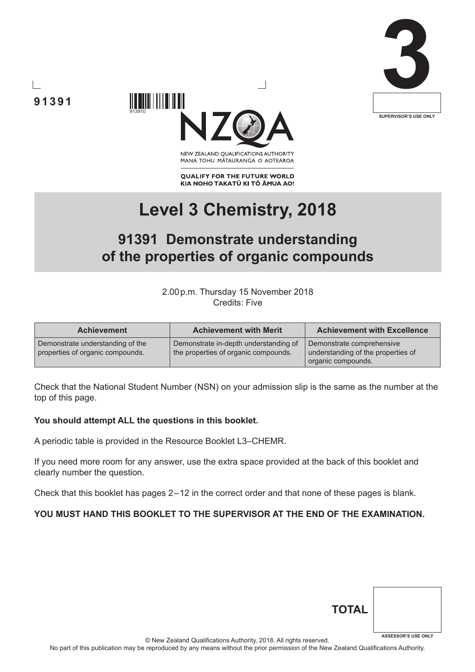





NEW ZEALAND OUALIFICATIONS AUTHORITY MANA TOHU MĀTAURANGA O AOTEAROA

**QUALIFY FOR THE FUTURE WORLD** KIA NOHO TAKATŪ KI TŌ ĀMUA AO!

# **Level 3 Chemistry, 2018**

## **91391 Demonstrate understanding of the properties of organic compounds**

2.00p.m. Thursday 15 November 2018 Credits: Five

| <b>Achievement</b>                                                   | <b>Achievement with Merit</b>                                                 | <b>Achievement with Excellence</b>                                                    |
|----------------------------------------------------------------------|-------------------------------------------------------------------------------|---------------------------------------------------------------------------------------|
| Demonstrate understanding of the<br>properties of organic compounds. | Demonstrate in-depth understanding of<br>the properties of organic compounds. | Demonstrate comprehensive<br>understanding of the properties of<br>organic compounds. |

Check that the National Student Number (NSN) on your admission slip is the same as the number at the top of this page.

#### **You should attempt ALL the questions in this booklet.**

A periodic table is provided in the Resource Booklet L3–CHEMR.

If you need more room for any answer, use the extra space provided at the back of this booklet and clearly number the question.

Check that this booklet has pages 2 – 12 in the correct order and that none of these pages is blank.

#### **YOU MUST HAND THIS BOOKLET TO THE SUPERVISOR AT THE END OF THE EXAMINATION.**

| <b>TOTAL</b> |                            |
|--------------|----------------------------|
|              | <b>ASSESSOR'S USE ONLY</b> |

© New Zealand Qualifications Authority, 2018. All rights reserved.

No part of this publication may be reproduced by any means without the prior permission of the New Zealand Qualifications Authority.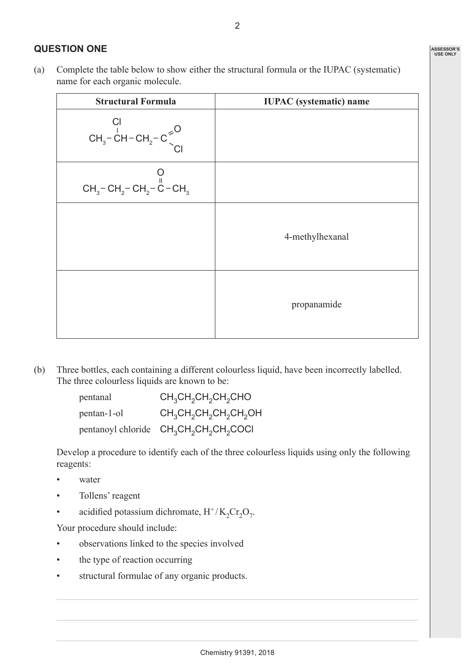#### **QUESTION ONE**

(a) Complete the table below to show either the structural formula or the IUPAC (systematic) name for each organic molecule.

2

| <b>Structural Formula</b>                                   | <b>IUPAC</b> (systematic) name |
|-------------------------------------------------------------|--------------------------------|
| CI<br>CH <sub>3</sub> -CH-CH <sub>2</sub> -C <sup>2</sup> O |                                |
| $CH_3$ – $CH_2$ – $CH_2$ – $CH_2$ – $CH_3$                  |                                |
|                                                             | 4-methylhexanal                |
|                                                             | propanamide                    |

(b) Three bottles, each containing a different colourless liquid, have been incorrectly labelled. The three colourless liquids are known to be:

| pentanal    | $CH3CH2CH2CH2CHO$                         |
|-------------|-------------------------------------------|
| pentan-1-ol | $CH3CH2CH2CH2CH2OH$                       |
|             | pentanoyl chloride $CH_3CH_2CH_2CH_2COCl$ |

Develop a procedure to identify each of the three colourless liquids using only the following reagents:

- water
- Tollens' reagent
- acidified potassium dichromate,  $H^+/K_2Cr_2O_7$ .

Your procedure should include:

- observations linked to the species involved
- the type of reaction occurring
- structural formulae of any organic products.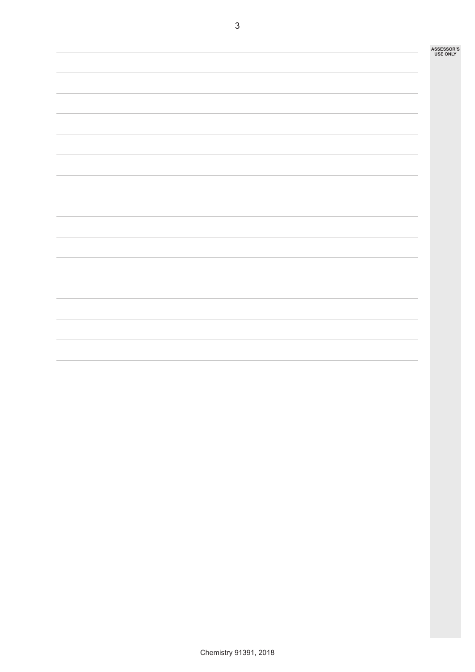| <b>ASSESSOR'S</b> |
|-------------------|
| <b>USE ONLY</b>   |

 $\mathbf{r}$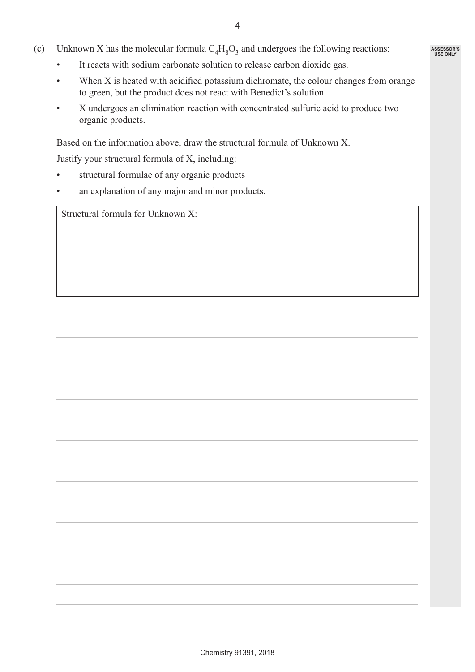$\overline{A}$ 

**ASSESSOR'S USE ONLY**

- (c) Unknown X has the molecular formula  $C_A H_8O_3$  and undergoes the following reactions:
	- It reacts with sodium carbonate solution to release carbon dioxide gas.
	- When  $X$  is heated with acidified potassium dichromate, the colour changes from orange to green, but the product does not react with Benedict's solution.
	- X undergoes an elimination reaction with concentrated sulfuric acid to produce two organic products.

Based on the information above, draw the structural formula of Unknown X.

Justify your structural formula of X, including:

- structural formulae of any organic products
- an explanation of any major and minor products.

Structural formula for Unknown X: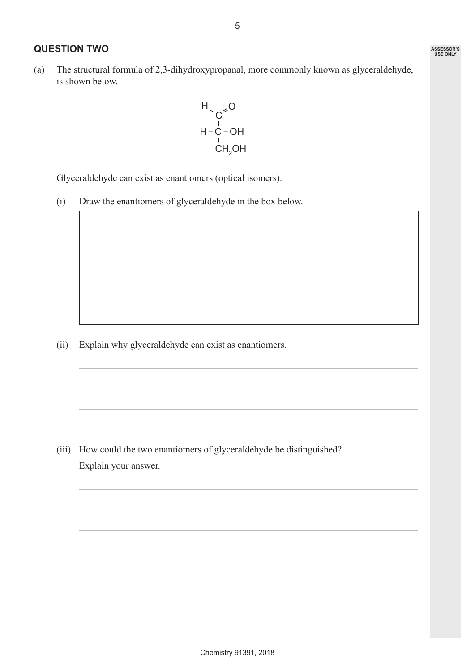#### **QUESTION TWO**

(a) The structural formula of 2,3-dihydroxypropanal, more commonly known as glyceraldehyde, is shown below.

$$
H \setminus C^{\neq 0}
$$
\n
$$
H - C - OH
$$
\n
$$
CH_2OH
$$

Glyceraldehyde can exist as enantiomers (optical isomers).

(i) Draw the enantiomers of glyceraldehyde in the box below.

(ii) Explain why glyceraldehyde can exist as enantiomers.

(iii) How could the two enantiomers of glyceraldehyde be distinguished? Explain your answer.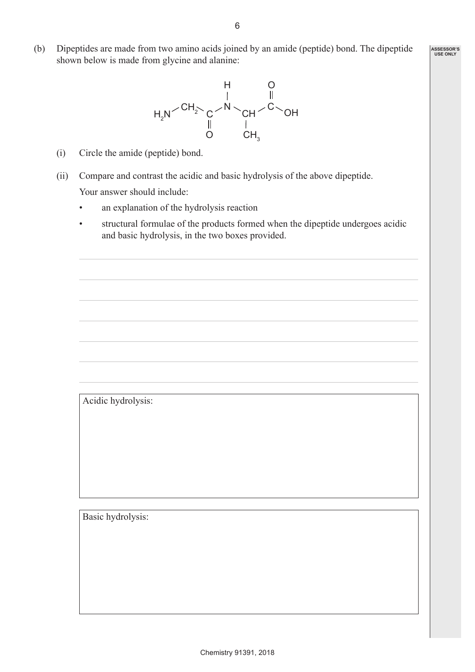**ASSESSOR'S USE ONLY**

(b) Dipeptides are made from two amino acids joined by an amide (peptide) bond. The dipeptide shown below is made from glycine and alanine:



- (i) Circle the amide (peptide) bond.
- (ii) Compare and contrast the acidic and basic hydrolysis of the above dipeptide. Your answer should include:
	- an explanation of the hydrolysis reaction
	- structural formulae of the products formed when the dipeptide undergoes acidic and basic hydrolysis, in the two boxes provided.

Acidic hydrolysis:

Basic hydrolysis: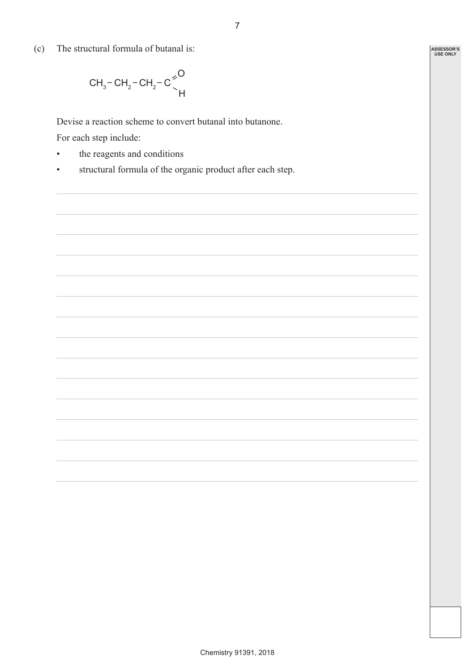**ASSESSOR'S USE ONLY**

(c) The structural formula of butanal is:

$$
CH_3 - CH_2 - CH_2 - C \leq D
$$

Devise a reaction scheme to convert butanal into butanone.

For each step include:

- the reagents and conditions
- structural formula of the organic product after each step.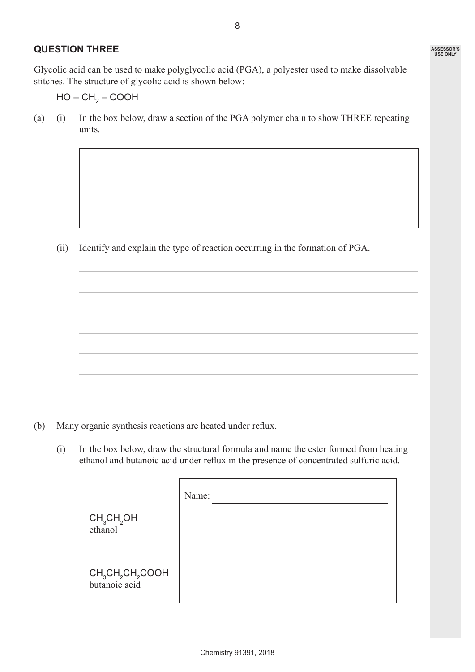#### **QUESTION THREE**

Glycolic acid can be used to make polyglycolic acid (PGA), a polyester used to make dissolvable stitches. The structure of glycolic acid is shown below:

 $HO - CH<sub>2</sub> - COOH$ 

(a) (i) In the box below, draw a section of the PGA polymer chain to show THREE repeating units.

(ii) Identify and explain the type of reaction occurring in the formation of PGA.

- (b) Many organic synthesis reactions are heated under reflux.
	- (i) In the box below, draw the structural formula and name the ester formed from heating ethanol and butanoic acid under reflux in the presence of concentrated sulfuric acid.

|                                                                       | Name: |
|-----------------------------------------------------------------------|-------|
| $CH3CH2OH$<br>ethanol                                                 |       |
| CH <sub>3</sub> CH <sub>2</sub> CH <sub>2</sub> COOH<br>butanoic acid |       |

**ASSESSOR'S USE ONLY**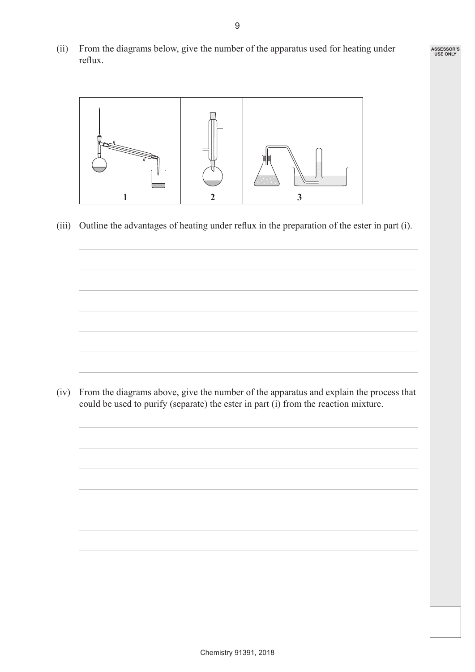(ii) From the diagrams below, give the number of the apparatus used for heating under reflux.

### **ASSESSOR'S USE ONLY**



(iii) Outline the advantages of heating under reflux in the preparation of the ester in part (i).

(iv) From the diagrams above, give the number of the apparatus and explain the process that could be used to purify (separate) the ester in part (i) from the reaction mixture.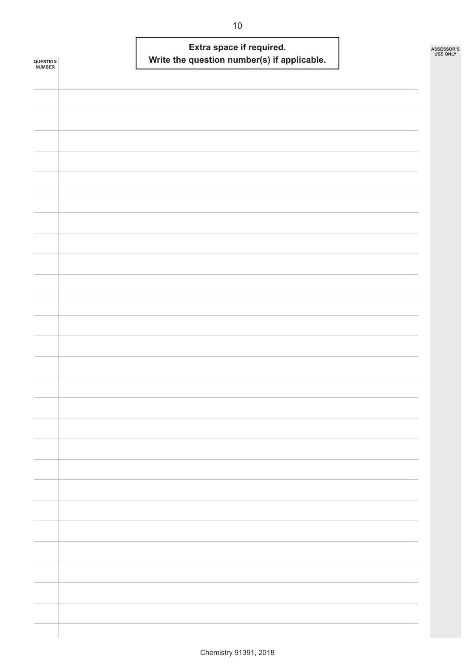| <b>QUESTION<br/>NUMBER</b> |  | Extra space if required.<br>Write the question number(s) if applicable. |  | ASSESSOR'S<br>USE ONLY |
|----------------------------|--|-------------------------------------------------------------------------|--|------------------------|
|                            |  |                                                                         |  |                        |
|                            |  |                                                                         |  |                        |
|                            |  |                                                                         |  |                        |
|                            |  |                                                                         |  |                        |
|                            |  |                                                                         |  |                        |
|                            |  |                                                                         |  |                        |
|                            |  |                                                                         |  |                        |
|                            |  |                                                                         |  |                        |
|                            |  |                                                                         |  |                        |
|                            |  |                                                                         |  |                        |
|                            |  |                                                                         |  |                        |
|                            |  |                                                                         |  |                        |
|                            |  |                                                                         |  |                        |
|                            |  |                                                                         |  |                        |
|                            |  |                                                                         |  |                        |
|                            |  |                                                                         |  |                        |
|                            |  |                                                                         |  |                        |
|                            |  |                                                                         |  |                        |
|                            |  |                                                                         |  |                        |
|                            |  |                                                                         |  |                        |
|                            |  |                                                                         |  |                        |
|                            |  |                                                                         |  |                        |
|                            |  |                                                                         |  |                        |
|                            |  |                                                                         |  |                        |
|                            |  |                                                                         |  |                        |
|                            |  |                                                                         |  |                        |

10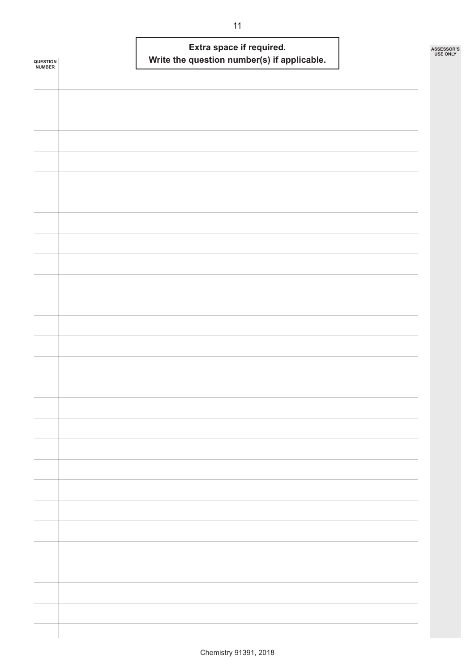| <b>QUESTION<br/>NUMBER</b> | Extra space if required.<br>Write the question number(s) if applicable. | ASSESSOR'S<br><b>USE ONLY</b> |
|----------------------------|-------------------------------------------------------------------------|-------------------------------|
|                            |                                                                         |                               |
|                            |                                                                         |                               |
|                            |                                                                         |                               |
|                            |                                                                         |                               |
|                            |                                                                         |                               |
|                            |                                                                         |                               |
|                            |                                                                         |                               |
|                            |                                                                         |                               |
|                            |                                                                         |                               |
|                            |                                                                         |                               |
|                            |                                                                         |                               |
|                            |                                                                         |                               |
|                            |                                                                         |                               |
|                            |                                                                         |                               |